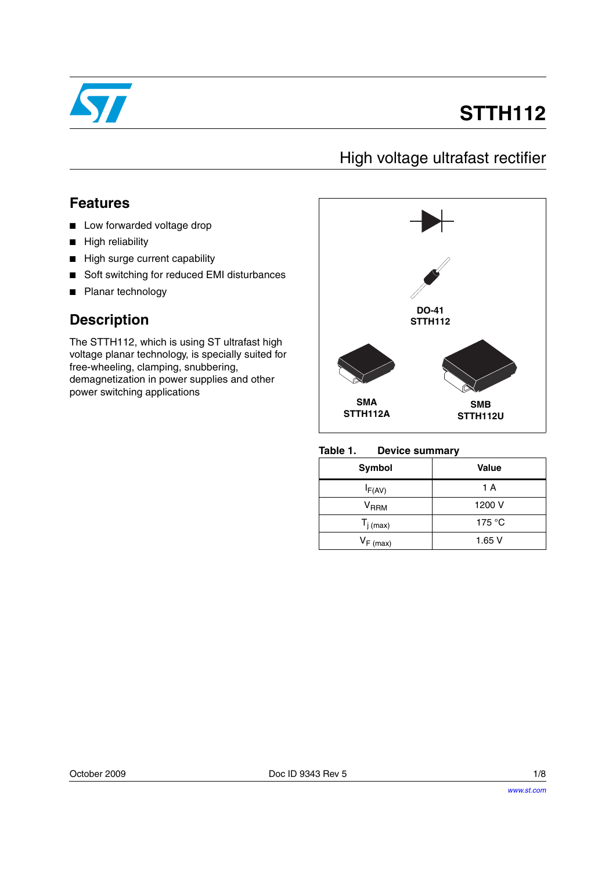

# **STTH112**

### High voltage ultrafast rectifier

### **Features**

- Low forwarded voltage drop
- High reliability
- High surge current capability
- Soft switching for reduced EMI disturbances
- Planar technology

### **Description**

The STTH112, which is using ST ultrafast high voltage planar technology, is specially suited for free-wheeling, clamping, snubbering, demagnetization in power supplies and other power switching applications



#### **Table 1. Device summary**

| Symbol                    | Value           |
|---------------------------|-----------------|
| $I_{F(AV)}$               | 1 A             |
| $\mathsf{V}_\mathsf{RRM}$ | 1200 V          |
| $T_{j \text{ (max)}}$     | 175 $\degree$ C |
| $V_{F(max)}$              | 1.65V           |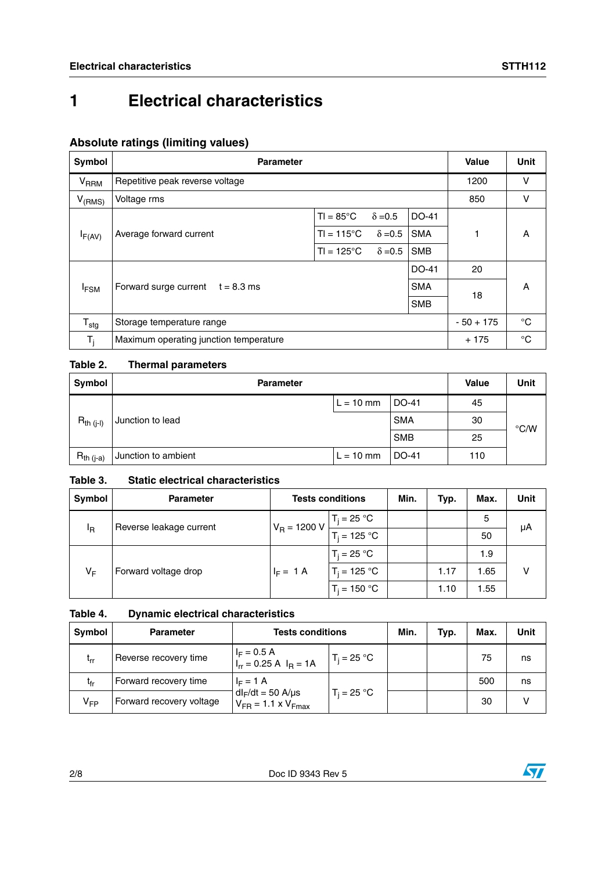### **Absolute ratings (limiting values)**

| Symbol                                              | <b>Parameter</b>                       | Value               | <b>Unit</b>    |            |             |             |
|-----------------------------------------------------|----------------------------------------|---------------------|----------------|------------|-------------|-------------|
| V <sub>RRM</sub>                                    | Repetitive peak reverse voltage        |                     | 1200           | v          |             |             |
| $V_{(RMS)}$                                         | Voltage rms                            |                     |                |            | 850         | v           |
|                                                     |                                        | $TI = 85^{\circ}C$  | $\delta = 0.5$ | DO-41      |             |             |
| $I_{F(AV)}$                                         | Average forward current                | $TI = 115^{\circ}C$ | $\delta = 0.5$ | <b>SMA</b> |             | A           |
|                                                     |                                        | $TI = 125^{\circ}C$ | $\delta = 0.5$ | <b>SMB</b> |             |             |
|                                                     |                                        |                     |                | DO-41      | 20          |             |
| Forward surge current<br>$t = 8.3$ ms<br><b>FSM</b> |                                        |                     |                | <b>SMA</b> |             | A           |
|                                                     |                                        | <b>SMB</b>          | 18             |            |             |             |
| $T_{\text{stg}}$                                    | Storage temperature range              |                     |                |            | $-50 + 175$ | °C          |
| $T_i$                                               | Maximum operating junction temperature |                     |                |            | $+175$      | $^{\circ}C$ |

### **Table 2. Thermal parameters**

| Symbol         | <b>Parameter</b>    | <b>Value</b> | <b>Unit</b>  |     |               |
|----------------|---------------------|--------------|--------------|-----|---------------|
|                |                     | $L = 10$ mm  | DO-41        | 45  |               |
| $R_{th (i-l)}$ | Junction to lead    |              | <b>SMA</b>   | 30  | $\degree$ C/W |
|                |                     |              | <b>SMB</b>   | 25  |               |
| $R_{th (j-a)}$ | Junction to ambient | $L = 10$ mm  | <b>DO-41</b> | 110 |               |

### **Table 3. Static electrical characteristics**

| Symbol | <b>Parameter</b>        | <b>Tests conditions</b> | Min.           | Typ. | Max. | <b>Unit</b> |    |
|--------|-------------------------|-------------------------|----------------|------|------|-------------|----|
|        | Reverse leakage current | $V_R = 1200 V$          | $T_j = 25 °C$  |      |      | 5           | μA |
| ΙŖ     |                         |                         | $T_i = 125 °C$ |      |      | 50          |    |
|        |                         |                         | $T_i = 25 °C$  |      |      | 1.9         |    |
| VF     | Forward voltage drop    | $I_F = 1 A$             | $T_i = 125 °C$ |      | 1.17 | .65         |    |
|        |                         |                         | $T_i = 150 °C$ |      | 1.10 | 1.55        |    |

### **Table 4. Dynamic electrical characteristics**

| <b>Symbol</b>   | <b>Parameter</b>         | <b>Tests conditions</b>                                  | Min.          | Typ. | Max. | Unit |    |
|-----------------|--------------------------|----------------------------------------------------------|---------------|------|------|------|----|
| $L_{rr}$        | Reverse recovery time    | $I_F = 0.5 A$<br>$I_{rr} = 0.25 A$ $I_R = 1A$            | $T_i = 25 °C$ |      |      | 75   | ns |
| t <sub>fr</sub> | Forward recovery time    | $I_F = 1 A$                                              |               |      |      | 500  | ns |
| V <sub>FP</sub> | Forward recovery voltage | $dl_F/dt = 50$ A/ $\mu$ s<br>$V_{FR}$ = 1.1 x $V_{Fmax}$ | $T_i = 25 °C$ |      |      | 30   |    |

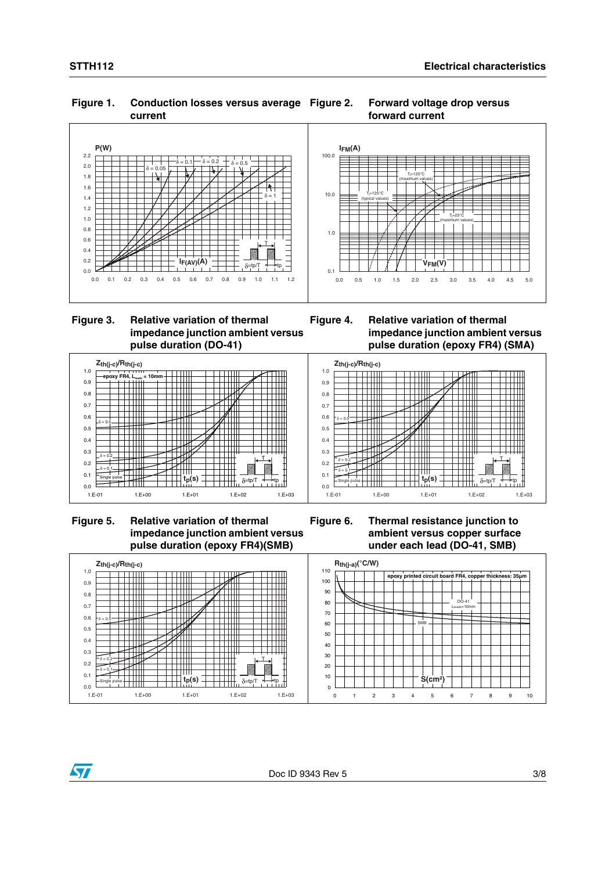#### **Figure 1. Conduction losses versus average current**

#### **Forward voltage drop versus forward current**





 $Z_{th(j-c)}$ /R<sub>th(j-c)</sub>

**epoxy FR4, L<sub>leads</sub> = 10**<br><del>| | | | | | | | |</del>

┯

 $\delta = 0.5$ 

 $\delta = 0.2$  $\delta = 0.1$ Single pulse

0.0 0.1 0.2 0.3 0.4 0.5  $0.6$ 0.7 0.8 0.9 1.0





**Figure 5. Relative variation of thermal impedance junction ambient versus pulse duration (epoxy FR4)(SMB)**

1.E-01 1.E+00 1.E+01 1.E+02 1.E+03

┿┿

← ₩

╅╈

 $t_p(s)$  **p**  $\overline{\leftarrow}$   $\overline{\leftarrow}$   $\overline{\leftarrow}$   $\overline{\delta}$  = tp/T

**Figure 6. Thermal resistance junction to ambient versus copper surface under each lead (DO-41, SMB)**



T

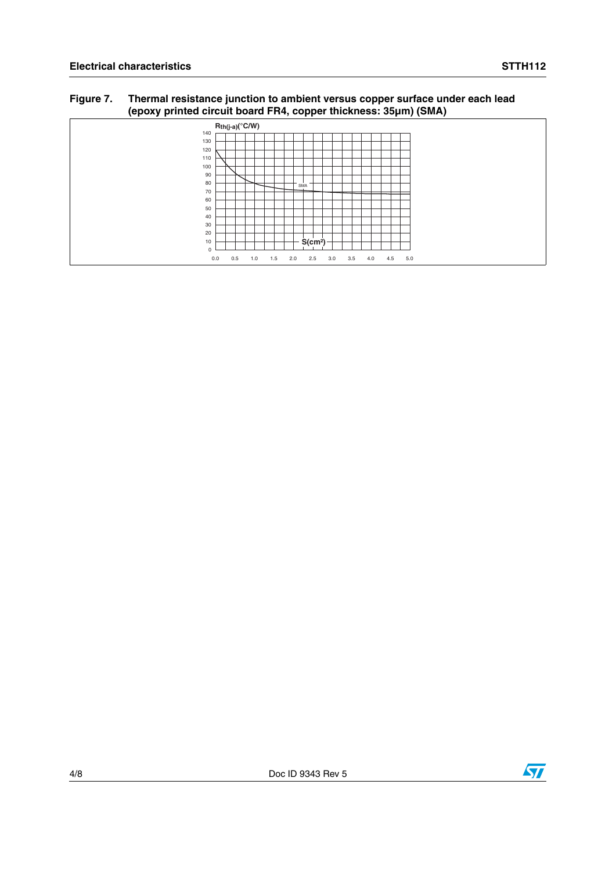#### **Figure 7. Thermal resistance junction to ambient versus copper surface under each lead (epoxy printed circuit board FR4, copper thickness: 35µm) (SMA)**

| .           | .<br>.<br>$\overline{\phantom{a}}$                                        |  |
|-------------|---------------------------------------------------------------------------|--|
|             | $R_{th(j-a)}$ <sup>°</sup> C/W)                                           |  |
| 140         |                                                                           |  |
| 130         |                                                                           |  |
| 120         |                                                                           |  |
| 110         |                                                                           |  |
| 100         |                                                                           |  |
| 90          |                                                                           |  |
| 80          |                                                                           |  |
|             | SMA                                                                       |  |
| 70          |                                                                           |  |
| 60          |                                                                           |  |
| 50          |                                                                           |  |
| 40          |                                                                           |  |
|             |                                                                           |  |
| 30          |                                                                           |  |
| 20          |                                                                           |  |
| 10          | $S$ (cm <sup>2</sup> )                                                    |  |
| $\mathbf 0$ |                                                                           |  |
|             | 3.5<br>5.0<br>0.0<br>0.5<br>2.5<br>4.5<br>2.0<br>3.0<br>4.0<br>1.0<br>1.5 |  |

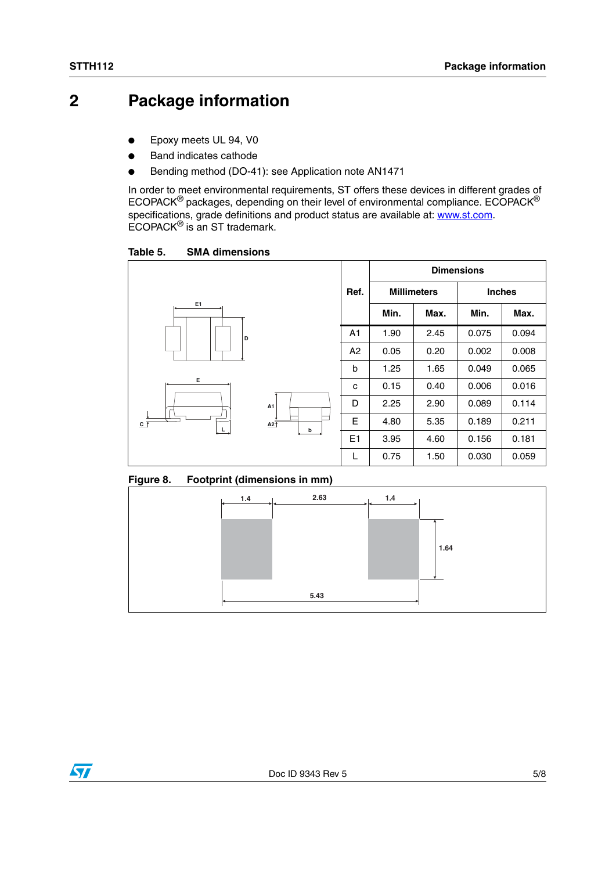### **2 Package information**

- Epoxy meets UL 94, V0
- **Band indicates cathode**
- Bending method (DO-41): see Application note AN1471

In order to meet environmental requirements, ST offers these devices in different grades of ECOPACK® packages, depending on their level of environmental compliance. ECOPACK® specifications, grade definitions and product status are available at: **www.st.com**. ECOPACK® is an ST trademark.

Table 5. **SMA dimensions** 



#### **Figure 8. Footprint (dimensions in mm)**

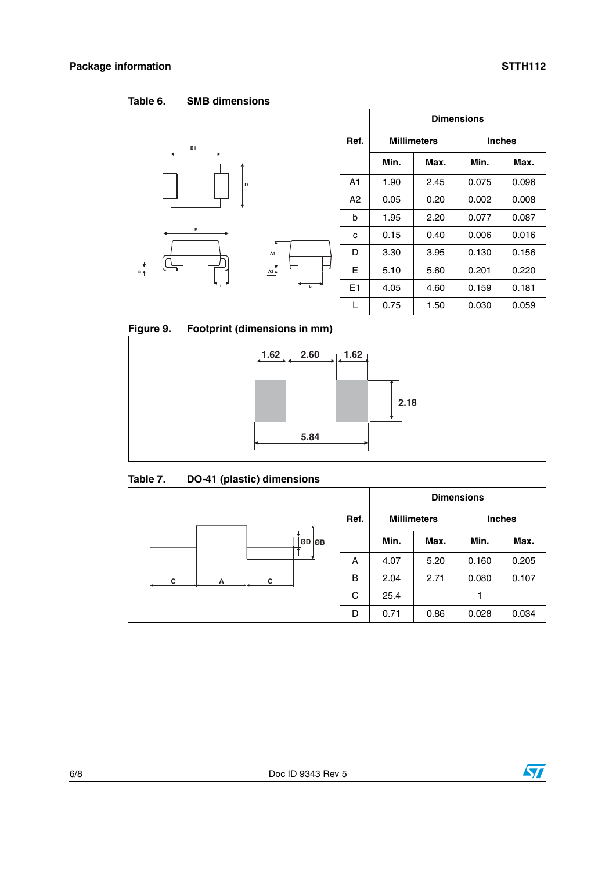Table 6. **SMB dimensions** 

|                    |                  |                                    | <b>Dimensions</b> |               |       |       |  |
|--------------------|------------------|------------------------------------|-------------------|---------------|-------|-------|--|
| E <sub>1</sub>     |                  | <b>Millimeters</b><br>Ref.<br>Min. |                   | <b>Inches</b> |       |       |  |
|                    |                  |                                    |                   | Max.          | Min.  | Max.  |  |
| D<br>Е             |                  | A <sub>1</sub>                     | 1.90              | 2.45          | 0.075 | 0.096 |  |
|                    |                  | A2                                 | 0.05              | 0.20          | 0.002 | 0.008 |  |
|                    |                  | b                                  | 1.95              | 2.20          | 0.077 | 0.087 |  |
|                    |                  | C                                  | 0.15              | 0.40          | 0.006 | 0.016 |  |
|                    | A <sub>1</sub>   | D                                  | 3.30              | 3.95          | 0.130 | 0.156 |  |
| $C$ $\overline{P}$ | $A2\overline{A}$ | E                                  | 5.10              | 5.60          | 0.201 | 0.220 |  |
| $\overline{L}$     | $\mathbf b$      | E1                                 | 4.05              | 4.60          | 0.159 | 0.181 |  |
|                    |                  | L                                  | 0.75              | 1.50          | 0.030 | 0.059 |  |

**Figure 9. Footprint (dimensions in mm)**



Table 7. **Table 7. DO-41 (plastic) dimensions**

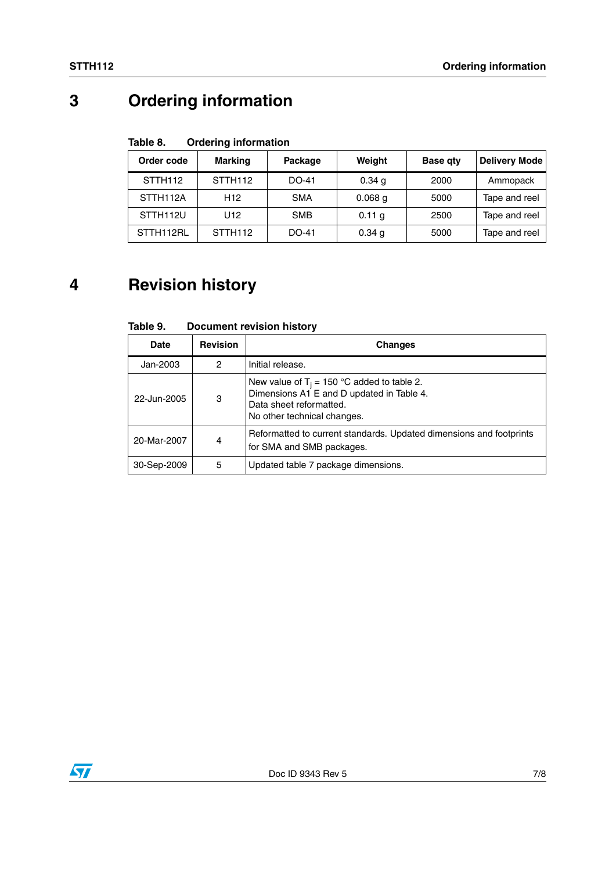## **3 Ordering information**

#### Table 8. **Ordering information**

| Order code            | <b>Marking</b>      | Package    | Weight    | <b>Base gty</b> | <b>Delivery Mode</b> |
|-----------------------|---------------------|------------|-----------|-----------------|----------------------|
| STTH <sub>112</sub>   | STTH <sub>112</sub> | DO-41      | 0.34 g    | 2000            | Ammopack             |
| STTH112A              | H <sub>12</sub>     | <b>SMA</b> | $0.068$ g | 5000            | Tape and reel        |
| STTH <sub>112</sub> U | U12                 | <b>SMB</b> | 0.11 g    | 2500            | Tape and reel        |
| STTH112RL             | STTH <sub>112</sub> | DO-41      | 0.34 g    | 5000            | Tape and reel        |

## **4 Revision history**

| Date        | <b>Revision</b> | <b>Changes</b>                                                                                                                                       |
|-------------|-----------------|------------------------------------------------------------------------------------------------------------------------------------------------------|
| Jan-2003    | 2               | Initial release.                                                                                                                                     |
| 22-Jun-2005 | 3               | New value of $T_i = 150$ °C added to table 2.<br>Dimensions A1 E and D updated in Table 4.<br>Data sheet reformatted.<br>No other technical changes. |
| 20-Mar-2007 | 4               | Reformatted to current standards. Updated dimensions and footprints<br>for SMA and SMB packages.                                                     |
| 30-Sep-2009 | 5               | Updated table 7 package dimensions.                                                                                                                  |

#### Table 9. **Document revision history**